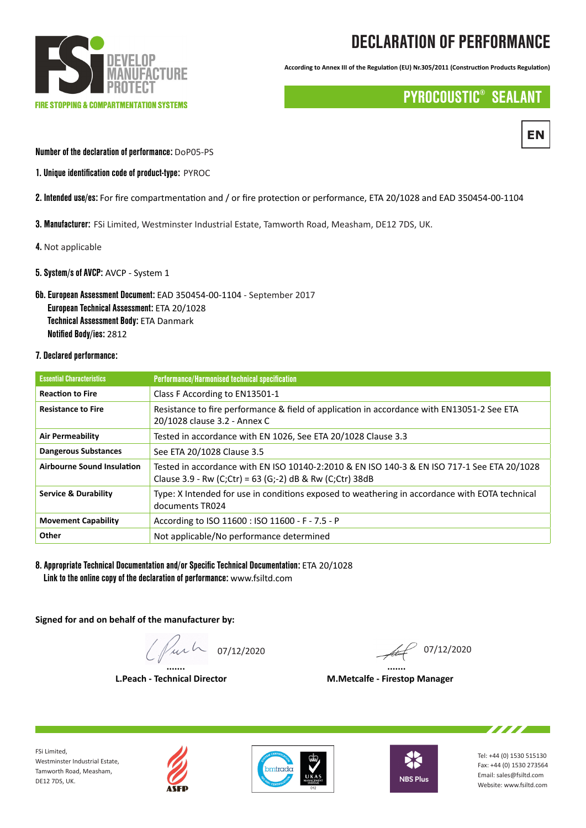

# DECLARATION OF PERFORMANCE

**According to Annex III of the Regulation (EU) Nr.305/2011 (Construction Products Regulation)**

## PYROCOUSTIC® SEALANT



#### Number of the declaration of performance: DoP05-PS

- 1. Unique identification code of product-type: PYROC
- 2. Intended use/es: For fire compartmentation and / or fire protection or performance, ETA 20/1028 and EAD 350454-00-1104
- 3. Manufacturer: FSi Limited, Westminster Industrial Estate, Tamworth Road, Measham, DE12 7DS, UK.
- 4. Not applicable
- 5. System/s of AVCP: AVCP System 1
- 6b. European Assessment Document: EAD 350454-00-1104 September 2017 European Technical Assessment: ETA 20/1028 Technical Assessment Body: ETA Danmark Notified Body/ies: 2812
- 7. Declared performance:

| <b>Essential Characteristics</b>  | <b>Performance/Harmonised technical specification</b>                                                                                                   |
|-----------------------------------|---------------------------------------------------------------------------------------------------------------------------------------------------------|
| <b>Reaction to Fire</b>           | Class F According to EN13501-1                                                                                                                          |
| <b>Resistance to Fire</b>         | Resistance to fire performance & field of application in accordance with EN13051-2 See ETA<br>20/1028 clause 3.2 - Annex C                              |
| <b>Air Permeability</b>           | Tested in accordance with EN 1026, See ETA 20/1028 Clause 3.3                                                                                           |
| <b>Dangerous Substances</b>       | See ETA 20/1028 Clause 3.5                                                                                                                              |
| <b>Airbourne Sound Insulation</b> | Tested in accordance with EN ISO 10140-2:2010 & EN ISO 140-3 & EN ISO 717-1 See ETA 20/1028<br>Clause 3.9 - Rw (C;Ctr) = 63 (G;-2) dB & Rw (C;Ctr) 38dB |
| <b>Service &amp; Durability</b>   | Type: X Intended for use in conditions exposed to weathering in accordance with EOTA technical<br>documents TR024                                       |
| <b>Movement Capability</b>        | According to ISO 11600 : ISO 11600 - F - 7.5 - P                                                                                                        |
| Other                             | Not applicable/No performance determined                                                                                                                |

8. Appropriate Technical Documentation and/or Specific Technical Documentation: ETA 20/1028 Link to the online copy of the declaration of performance: www.fsiltd.com

**Signed for and on behalf of the manufacturer by:**

 **....... .......**  $\int \int u \, \mu \, \mu \, \infty$  07/12/2020

 **L.Peach - Technical Director M.Metcalfe - Firestop Manager**

FSi Limited, Westminster Industrial Estate, Tamworth Road, Measham, DE12 7DS, UK.







Tel: +44 (0) 1530 515130 Fax: +44 (0) 1530 273564 Email: sales@fsiltd.com Website: www.fsiltd.com